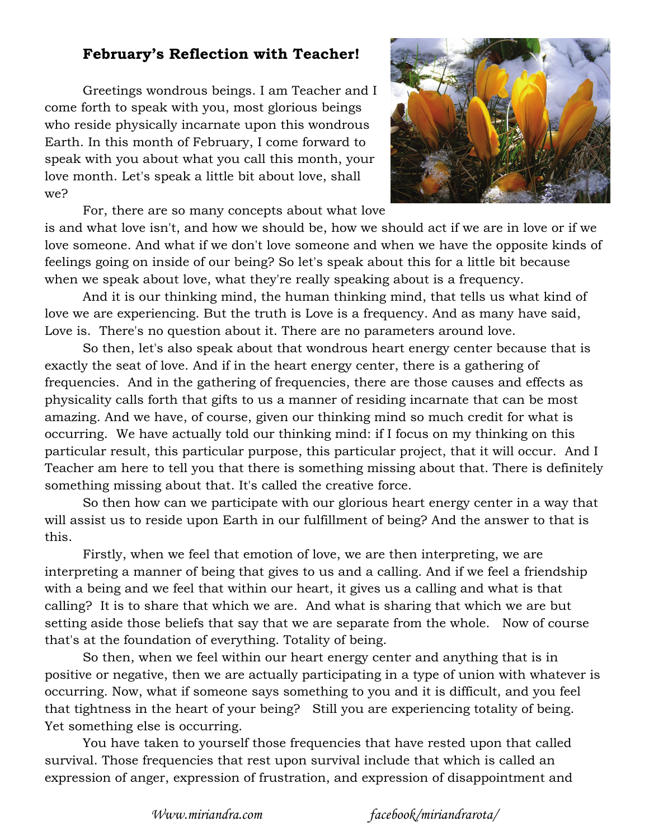## **February's Reflection with Teacher!**

Greetings wondrous beings. I am Teacher and I come forth to speak with you, most glorious beings who reside physically incarnate upon this wondrous Earth. In this month of February, I come forward to speak with you about what you call this month, your love month. Let's speak a little bit about love, shall we?



For, there are so many concepts about what love

is and what love isn't, and how we should be, how we should act if we are in love or if we love someone. And what if we don't love someone and when we have the opposite kinds of feelings going on inside of our being? So let's speak about this for a little bit because when we speak about love, what they're really speaking about is a frequency.

And it is our thinking mind, the human thinking mind, that tells us what kind of love we are experiencing. But the truth is Love is a frequency. And as many have said, Love is. There's no question about it. There are no parameters around love.

So then, let's also speak about that wondrous heart energy center because that is exactly the seat of love. And if in the heart energy center, there is a gathering of frequencies. And in the gathering of frequencies, there are those causes and effects as physicality calls forth that gifts to us a manner of residing incarnate that can be most amazing. And we have, of course, given our thinking mind so much credit for what is occurring. We have actually told our thinking mind: if I focus on my thinking on this particular result, this particular purpose, this particular project, that it will occur. And I Teacher am here to tell you that there is something missing about that. There is definitely something missing about that. It's called the creative force.

So then how can we participate with our glorious heart energy center in a way that will assist us to reside upon Earth in our fulfillment of being? And the answer to that is this.

Firstly, when we feel that emotion of love, we are then interpreting, we are interpreting a manner of being that gives to us and a calling. And if we feel a friendship with a being and we feel that within our heart, it gives us a calling and what is that calling? It is to share that which we are. And what is sharing that which we are but setting aside those beliefs that say that we are separate from the whole. Now of course that's at the foundation of everything. Totality of being.

So then, when we feel within our heart energy center and anything that is in positive or negative, then we are actually participating in a type of union with whatever is occurring. Now, what if someone says something to you and it is difficult, and you feel that tightness in the heart of your being? Still you are experiencing totality of being. Yet something else is occurring.

You have taken to yourself those frequencies that have rested upon that called survival. Those frequencies that rest upon survival include that which is called an expression of anger, expression of frustration, and expression of disappointment and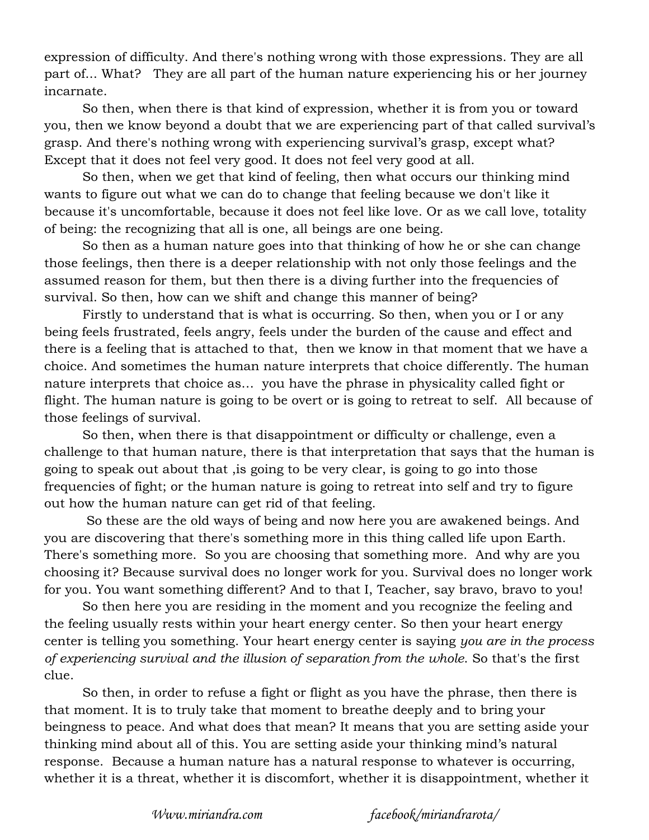expression of difficulty. And there's nothing wrong with those expressions. They are all part of... What? They are all part of the human nature experiencing his or her journey incarnate.

So then, when there is that kind of expression, whether it is from you or toward you, then we know beyond a doubt that we are experiencing part of that called survival's grasp. And there's nothing wrong with experiencing survival's grasp, except what? Except that it does not feel very good. It does not feel very good at all.

So then, when we get that kind of feeling, then what occurs our thinking mind wants to figure out what we can do to change that feeling because we don't like it because it's uncomfortable, because it does not feel like love. Or as we call love, totality of being: the recognizing that all is one, all beings are one being.

So then as a human nature goes into that thinking of how he or she can change those feelings, then there is a deeper relationship with not only those feelings and the assumed reason for them, but then there is a diving further into the frequencies of survival. So then, how can we shift and change this manner of being?

Firstly to understand that is what is occurring. So then, when you or I or any being feels frustrated, feels angry, feels under the burden of the cause and effect and there is a feeling that is attached to that, then we know in that moment that we have a choice. And sometimes the human nature interprets that choice differently. The human nature interprets that choice as… you have the phrase in physicality called fight or flight. The human nature is going to be overt or is going to retreat to self. All because of those feelings of survival.

So then, when there is that disappointment or difficulty or challenge, even a challenge to that human nature, there is that interpretation that says that the human is going to speak out about that ,is going to be very clear, is going to go into those frequencies of fight; or the human nature is going to retreat into self and try to figure out how the human nature can get rid of that feeling.

 So these are the old ways of being and now here you are awakened beings. And you are discovering that there's something more in this thing called life upon Earth. There's something more. So you are choosing that something more. And why are you choosing it? Because survival does no longer work for you. Survival does no longer work for you. You want something different? And to that I, Teacher, say bravo, bravo to you!

So then here you are residing in the moment and you recognize the feeling and the feeling usually rests within your heart energy center. So then your heart energy center is telling you something. Your heart energy center is saying *you are in the process of experiencing survival and the illusion of separation from the whole*. So that's the first clue.

So then, in order to refuse a fight or flight as you have the phrase, then there is that moment. It is to truly take that moment to breathe deeply and to bring your beingness to peace. And what does that mean? It means that you are setting aside your thinking mind about all of this. You are setting aside your thinking mind's natural response. Because a human nature has a natural response to whatever is occurring, whether it is a threat, whether it is discomfort, whether it is disappointment, whether it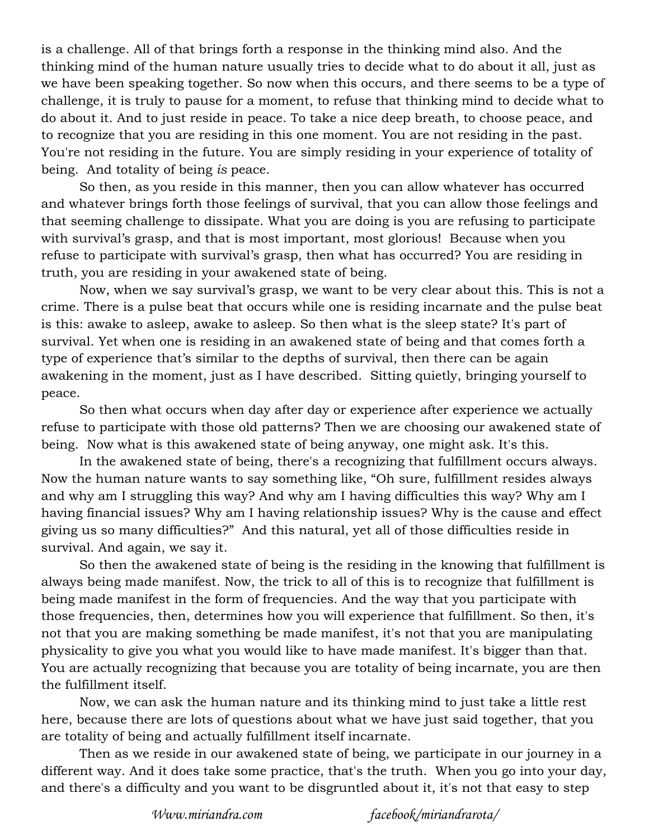is a challenge. All of that brings forth a response in the thinking mind also. And the thinking mind of the human nature usually tries to decide what to do about it all, just as we have been speaking together. So now when this occurs, and there seems to be a type of challenge, it is truly to pause for a moment, to refuse that thinking mind to decide what to do about it. And to just reside in peace. To take a nice deep breath, to choose peace, and to recognize that you are residing in this one moment. You are not residing in the past. You're not residing in the future. You are simply residing in your experience of totality of being. And totality of being *is* peace.

So then, as you reside in this manner, then you can allow whatever has occurred and whatever brings forth those feelings of survival, that you can allow those feelings and that seeming challenge to dissipate. What you are doing is you are refusing to participate with survival's grasp, and that is most important, most glorious! Because when you refuse to participate with survival's grasp, then what has occurred? You are residing in truth, you are residing in your awakened state of being.

Now, when we say survival's grasp, we want to be very clear about this. This is not a crime. There is a pulse beat that occurs while one is residing incarnate and the pulse beat is this: awake to asleep, awake to asleep. So then what is the sleep state? It's part of survival. Yet when one is residing in an awakened state of being and that comes forth a type of experience that's similar to the depths of survival, then there can be again awakening in the moment, just as I have described. Sitting quietly, bringing yourself to peace.

So then what occurs when day after day or experience after experience we actually refuse to participate with those old patterns? Then we are choosing our awakened state of being. Now what is this awakened state of being anyway, one might ask. It's this.

In the awakened state of being, there's a recognizing that fulfillment occurs always. Now the human nature wants to say something like, "Oh sure, fulfillment resides always and why am I struggling this way? And why am I having difficulties this way? Why am I having financial issues? Why am I having relationship issues? Why is the cause and effect giving us so many difficulties?" And this natural, yet all of those difficulties reside in survival. And again, we say it.

So then the awakened state of being is the residing in the knowing that fulfillment is always being made manifest. Now, the trick to all of this is to recognize that fulfillment is being made manifest in the form of frequencies. And the way that you participate with those frequencies, then, determines how you will experience that fulfillment. So then, it's not that you are making something be made manifest, it's not that you are manipulating physicality to give you what you would like to have made manifest. It's bigger than that. You are actually recognizing that because you are totality of being incarnate, you are then the fulfillment itself.

Now, we can ask the human nature and its thinking mind to just take a little rest here, because there are lots of questions about what we have just said together, that you are totality of being and actually fulfillment itself incarnate.

Then as we reside in our awakened state of being, we participate in our journey in a different way. And it does take some practice, that's the truth. When you go into your day, and there's a difficulty and you want to be disgruntled about it, it's not that easy to step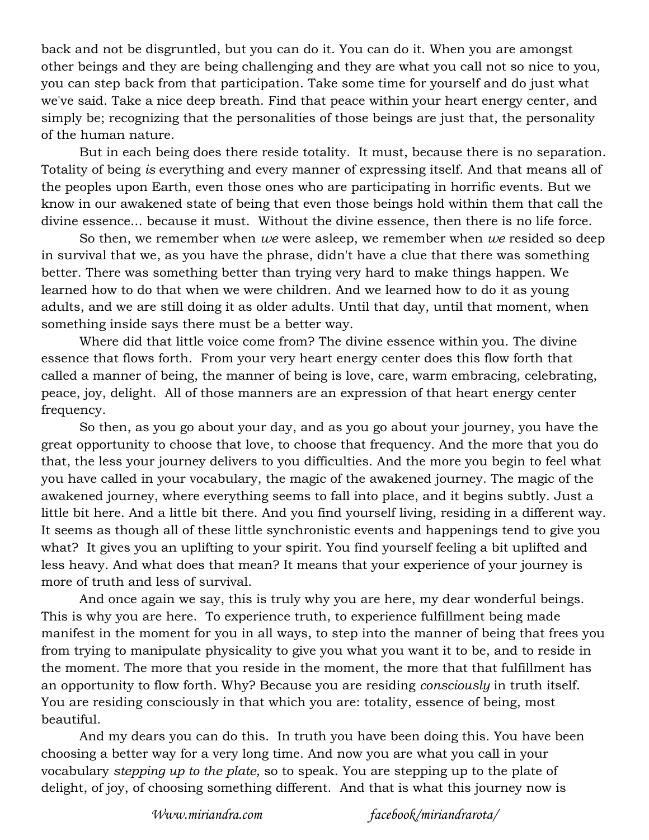back and not be disgruntled, but you can do it. You can do it. When you are amongst other beings and they are being challenging and they are what you call not so nice to you, you can step back from that participation. Take some time for yourself and do just what we've said. Take a nice deep breath. Find that peace within your heart energy center, and simply be; recognizing that the personalities of those beings are just that, the personality of the human nature.

But in each being does there reside totality. It must, because there is no separation. Totality of being *is* everything and every manner of expressing itself. And that means all of the peoples upon Earth, even those ones who are participating in horrific events. But we know in our awakened state of being that even those beings hold within them that call the divine essence... because it must. Without the divine essence, then there is no life force.

So then, we remember when *we* were asleep, we remember when *we* resided so deep in survival that we, as you have the phrase, didn't have a clue that there was something better. There was something better than trying very hard to make things happen. We learned how to do that when we were children. And we learned how to do it as young adults, and we are still doing it as older adults. Until that day, until that moment, when something inside says there must be a better way.

Where did that little voice come from? The divine essence within you. The divine essence that flows forth. From your very heart energy center does this flow forth that called a manner of being, the manner of being is love, care, warm embracing, celebrating, peace, joy, delight. All of those manners are an expression of that heart energy center frequency.

So then, as you go about your day, and as you go about your journey, you have the great opportunity to choose that love, to choose that frequency. And the more that you do that, the less your journey delivers to you difficulties. And the more you begin to feel what you have called in your vocabulary, the magic of the awakened journey. The magic of the awakened journey, where everything seems to fall into place, and it begins subtly. Just a little bit here. And a little bit there. And you find yourself living, residing in a different way. It seems as though all of these little synchronistic events and happenings tend to give you what? It gives you an uplifting to your spirit. You find yourself feeling a bit uplifted and less heavy. And what does that mean? It means that your experience of your journey is more of truth and less of survival.

And once again we say, this is truly why you are here, my dear wonderful beings. This is why you are here. To experience truth, to experience fulfillment being made manifest in the moment for you in all ways, to step into the manner of being that frees you from trying to manipulate physicality to give you what you want it to be, and to reside in the moment. The more that you reside in the moment, the more that that fulfillment has an opportunity to flow forth. Why? Because you are residing *consciously* in truth itself. You are residing consciously in that which you are: totality, essence of being, most beautiful.

And my dears you can do this. In truth you have been doing this. You have been choosing a better way for a very long time. And now you are what you call in your vocabulary *stepping up to the plate,* so to speak. You are stepping up to the plate of delight, of joy, of choosing something different. And that is what this journey now is